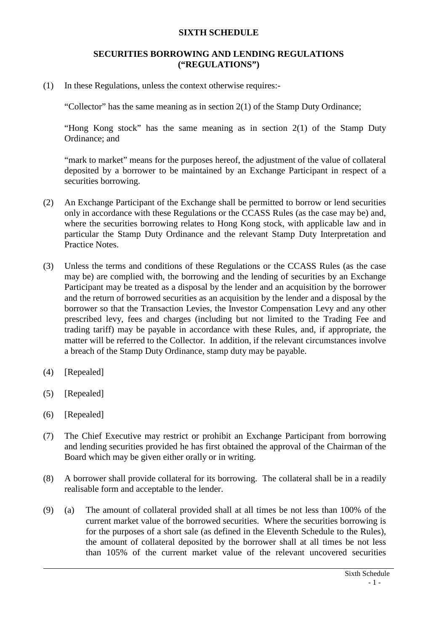## **SIXTH SCHEDULE**

## **SECURITIES BORROWING AND LENDING REGULATIONS ("REGULATIONS")**

(1) In these Regulations, unless the context otherwise requires:-

"Collector" has the same meaning as in section 2(1) of the Stamp Duty Ordinance;

"Hong Kong stock" has the same meaning as in section 2(1) of the Stamp Duty Ordinance; and

"mark to market" means for the purposes hereof, the adjustment of the value of collateral deposited by a borrower to be maintained by an Exchange Participant in respect of a securities borrowing.

- (2) An Exchange Participant of the Exchange shall be permitted to borrow or lend securities only in accordance with these Regulations or the CCASS Rules (as the case may be) and, where the securities borrowing relates to Hong Kong stock, with applicable law and in particular the Stamp Duty Ordinance and the relevant Stamp Duty Interpretation and Practice Notes.
- (3) Unless the terms and conditions of these Regulations or the CCASS Rules (as the case may be) are complied with, the borrowing and the lending of securities by an Exchange Participant may be treated as a disposal by the lender and an acquisition by the borrower and the return of borrowed securities as an acquisition by the lender and a disposal by the borrower so that the Transaction Levies, the Investor Compensation Levy and any other prescribed levy, fees and charges (including but not limited to the Trading Fee and trading tariff) may be payable in accordance with these Rules, and, if appropriate, the matter will be referred to the Collector. In addition, if the relevant circumstances involve a breach of the Stamp Duty Ordinance, stamp duty may be payable.
- (4) [Repealed]
- (5) [Repealed]
- (6) [Repealed]
- (7) The Chief Executive may restrict or prohibit an Exchange Participant from borrowing and lending securities provided he has first obtained the approval of the Chairman of the Board which may be given either orally or in writing.
- (8) A borrower shall provide collateral for its borrowing. The collateral shall be in a readily realisable form and acceptable to the lender.
- (9) (a) The amount of collateral provided shall at all times be not less than 100% of the current market value of the borrowed securities. Where the securities borrowing is for the purposes of a short sale (as defined in the Eleventh Schedule to the Rules), the amount of collateral deposited by the borrower shall at all times be not less than 105% of the current market value of the relevant uncovered securities